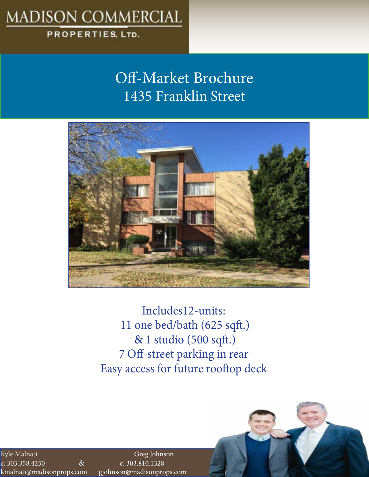# **MADISON COMMERCIAL**

### PROPERTIES, LTD.

## Off-Market Brochure 1435 Franklin Street



Includes12-units: 11 one bed/bath (625 sqft.) & 1 studio (500 sqft.) 7 Off-street parking in rear Easy access for future rooftop deck

c: 303.358.4250 & c: 303.810.1328 kmalnati@madisonprops.com gjohnson@madisonprops.com Kyle Malnati

Greg Johnson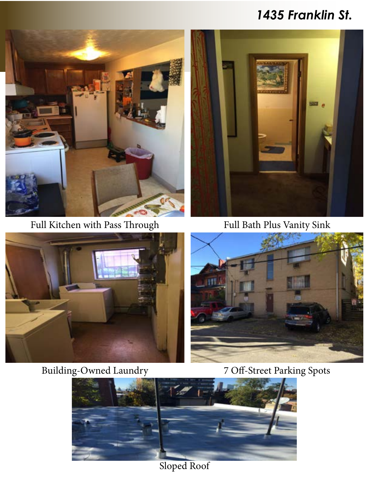### *1435 Franklin St.*



Full Kitchen with Pass Through Full Bath Plus Vanity Sink





### Building-Owned Laundry 7 Off-Street Parking Spots





Sloped Roof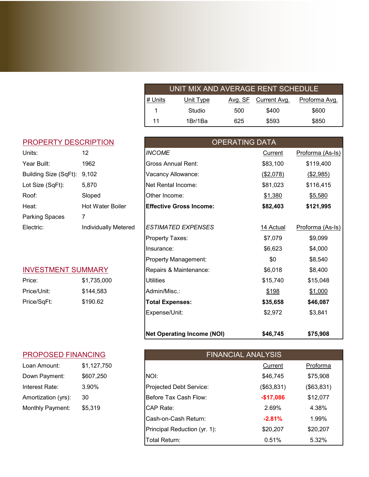| UNIT MIX AND AVERAGE RENT SCHEDULE |           |     |                      |               |
|------------------------------------|-----------|-----|----------------------|---------------|
| # Units                            | Unit Type |     | Avg. SF Current Avg. | Proforma Avg. |
|                                    | Studio    | 500 | \$400                | \$600         |
| 11                                 | 1Br/1Ba   | 625 | \$593                | \$850         |

#### PROPERTY DESCRIPTION

| Units:                | 12                   |
|-----------------------|----------------------|
| Year Built:           | 1962                 |
| Building Size (SqFt): | 9,102                |
| Lot Size (SqFt):      | 5,870                |
| Roof∶                 | Sloped               |
| Heat:                 | Hot Water Boiler     |
| Parking Spaces        | 7                    |
| Electric:             | Individually Metered |
|                       |                      |

### INVESTMENT SUMMARY

| Price:      | \$1,735,000 |
|-------------|-------------|
| Price/Unit: | \$144.583   |
| Price/SqFt: | \$190.62    |

#### PROPOSED FINANCING

| Loan Amount:        | \$1,127,750 |
|---------------------|-------------|
| Down Payment:       | \$607,250   |
| Interest Rate:      | 3.90%       |
| Amortization (yrs): | 30          |
| Monthly Payment:    | \$5,319     |

|                             |                             | <b>Net Operating Income (NOI)</b> | \$46,745              | \$75,908         |
|-----------------------------|-----------------------------|-----------------------------------|-----------------------|------------------|
|                             |                             | Expense/Unit:                     | \$2,972               | \$3,841          |
| Price/SqFt:                 | \$190.62                    | <b>Total Expenses:</b>            | \$35,658              | \$46,087         |
| Price/Unit:                 | \$144,583                   | Admin/Misc.:                      | \$198                 | \$1,000          |
| Price:                      | \$1,735,000                 | Utilities                         | \$15,740              | \$15,048         |
| <b>INVESTMENT SUMMARY</b>   |                             | Repairs & Maintenance:            | \$6,018               | \$8,400          |
|                             |                             | Property Management:              | \$0                   | \$8,540          |
|                             |                             | Insurance:                        | \$6,623               | \$4,000          |
|                             |                             | Property Taxes:                   | \$7,079               | \$9,099          |
| Electric:                   | <b>Individually Metered</b> | <b>ESTIMATED EXPENSES</b>         | 14 Actual             | Proforma (As-Is) |
| Parking Spaces              | 7                           |                                   |                       |                  |
| Heat:                       | <b>Hot Water Boiler</b>     | <b>Effective Gross Income:</b>    | \$82,403              | \$121,995        |
| Roof:                       | Sloped                      | Other Income:                     | \$1,380               | \$5,580          |
| Lot Size (SqFt):            | 5,870                       | Net Rental Income:                | \$81,023              | \$116,415        |
| Building Size (SqFt):       | 9,102                       | Vacancy Allowance:                | ( \$2,078)            | ( \$2,985)       |
| Year Built:                 | 1962                        | <b>Gross Annual Rent:</b>         | \$83,100              | \$119,400        |
| Units:                      | 12                          | <b>INCOME</b>                     | <b>Current</b>        | Proforma (As-Is) |
| <b>PROPERTY DESCRIPTION</b> |                             |                                   | <b>OPERATING DATA</b> |                  |
|                             |                             |                                   |                       |                  |

| <b>PROPOSED FINANCING</b> |             |                              | <b>FINANCIAL ANALYSIS</b> |            |  |
|---------------------------|-------------|------------------------------|---------------------------|------------|--|
| Loan Amount:              | \$1,127,750 |                              | Current                   | Proforma   |  |
| Down Payment:             | \$607,250   | NOI:                         | \$46,745                  | \$75,908   |  |
| Interest Rate:            | 3.90%       | Projected Debt Service:      | (\$63,831)                | (\$63,831) |  |
| Amortization (yrs):       | 30          | Before Tax Cash Flow:        | $-$17,086$                | \$12,077   |  |
| Monthly Payment:          | \$5,319     | CAP Rate:                    | 2.69%                     | 4.38%      |  |
|                           |             | Cash-on-Cash Return:         | $-2.81%$                  | 1.99%      |  |
|                           |             | Principal Reduction (yr. 1): | \$20,207                  | \$20,207   |  |
|                           |             | Total Return:                | 0.51%                     | 5.32%      |  |